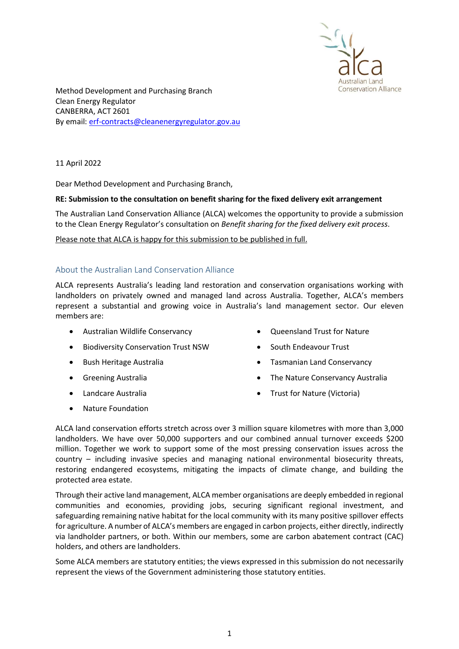

Method Development and Purchasing Branch Clean Energy Regulator CANBERRA, ACT 2601 By email: erf-contracts@cleanenergyregulator.gov.au

11 April 2022

Dear Method Development and Purchasing Branch,

## RE: Submission to the consultation on benefit sharing for the fixed delivery exit arrangement

The Australian Land Conservation Alliance (ALCA) welcomes the opportunity to provide a submission to the Clean Energy Regulator's consultation on Benefit sharing for the fixed delivery exit process.

Please note that ALCA is happy for this submission to be published in full.

## About the Australian Land Conservation Alliance

ALCA represents Australia's leading land restoration and conservation organisations working with landholders on privately owned and managed land across Australia. Together, ALCA's members represent a substantial and growing voice in Australia's land management sector. Our eleven members are:

- Australian Wildlife Conservancy
- **•** Biodiversity Conservation Trust NSW
- Bush Heritage Australia
- **•** Greening Australia
- Landcare Australia
- Nature Foundation
- Oueensland Trust for Nature
- South Endeavour Trust
- Tasmanian Land Conservancy
- The Nature Conservancy Australia
- Trust for Nature (Victoria)

ALCA land conservation efforts stretch across over 3 million square kilometres with more than 3,000 landholders. We have over 50,000 supporters and our combined annual turnover exceeds \$200 million. Together we work to support some of the most pressing conservation issues across the country – including invasive species and managing national environmental biosecurity threats, restoring endangered ecosystems, mitigating the impacts of climate change, and building the protected area estate.

Through their active land management, ALCA member organisations are deeply embedded in regional communities and economies, providing jobs, securing significant regional investment, and safeguarding remaining native habitat for the local community with its many positive spillover effects for agriculture. A number of ALCA's members are engaged in carbon projects, either directly, indirectly via landholder partners, or both. Within our members, some are carbon abatement contract (CAC) holders, and others are landholders.

Some ALCA members are statutory entities; the views expressed in this submission do not necessarily represent the views of the Government administering those statutory entities.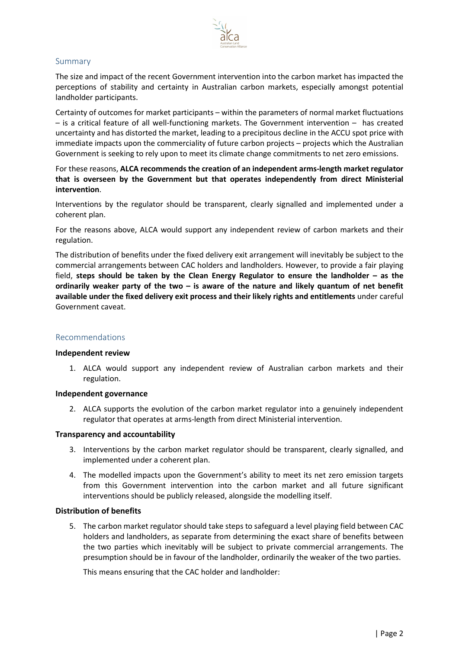

# Summary

The size and impact of the recent Government intervention into the carbon market has impacted the perceptions of stability and certainty in Australian carbon markets, especially amongst potential landholder participants.

Certainty of outcomes for market participants – within the parameters of normal market fluctuations – is a critical feature of all well-functioning markets. The Government intervention – has created uncertainty and has distorted the market, leading to a precipitous decline in the ACCU spot price with immediate impacts upon the commerciality of future carbon projects – projects which the Australian Government is seeking to rely upon to meet its climate change commitments to net zero emissions.

For these reasons, ALCA recommends the creation of an independent arms-length market regulator that is overseen by the Government but that operates independently from direct Ministerial intervention.

Interventions by the regulator should be transparent, clearly signalled and implemented under a coherent plan.

For the reasons above, ALCA would support any independent review of carbon markets and their regulation.

The distribution of benefits under the fixed delivery exit arrangement will inevitably be subject to the commercial arrangements between CAC holders and landholders. However, to provide a fair playing field, steps should be taken by the Clean Energy Regulator to ensure the landholder – as the ordinarily weaker party of the two  $-$  is aware of the nature and likely quantum of net benefit available under the fixed delivery exit process and their likely rights and entitlements under careful Government caveat.

### Recommendations

#### Independent review

1. ALCA would support any independent review of Australian carbon markets and their regulation.

#### Independent governance

2. ALCA supports the evolution of the carbon market regulator into a genuinely independent regulator that operates at arms-length from direct Ministerial intervention.

#### Transparency and accountability

- 3. Interventions by the carbon market regulator should be transparent, clearly signalled, and implemented under a coherent plan.
- 4. The modelled impacts upon the Government's ability to meet its net zero emission targets from this Government intervention into the carbon market and all future significant interventions should be publicly released, alongside the modelling itself.

# Distribution of benefits

5. The carbon market regulator should take steps to safeguard a level playing field between CAC holders and landholders, as separate from determining the exact share of benefits between the two parties which inevitably will be subject to private commercial arrangements. The presumption should be in favour of the landholder, ordinarily the weaker of the two parties.

This means ensuring that the CAC holder and landholder: